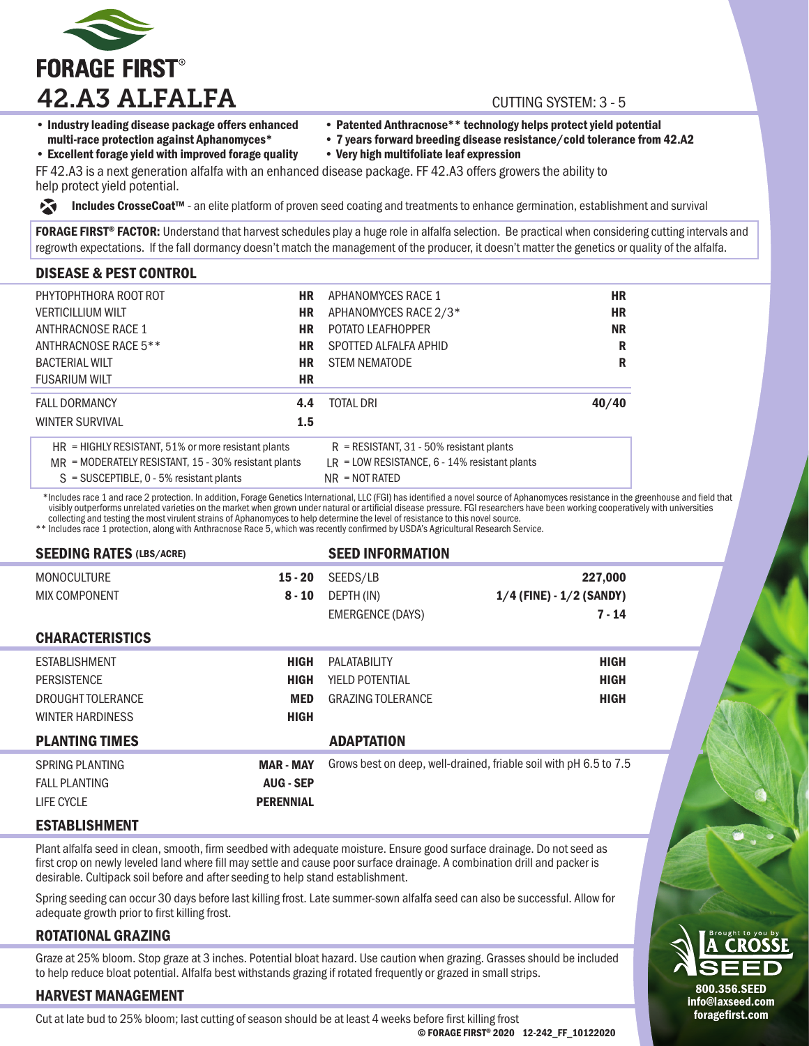

- Industry leading disease package offers enhanced multi-race protection against Aphanomyces\*
- Patented Anthracnose\*\* technology helps protect yield potential
- 7 years forward breeding disease resistance/cold tolerance from 42.A2 • Very high multifoliate leaf expression

• Excellent forage yield with improved forage quality

FF 42.A3 is a next generation alfalfa with an enhanced disease package. FF 42.A3 offers growers the ability to

Includes CrosseCoat™ - an elite platform of proven seed coating and treatments to enhance germination, establishment and survival 交

FORAGE FIRST® FACTOR: Understand that harvest schedules play a huge role in alfalfa selection. Be practical when considering cutting intervals and regrowth expectations. If the fall dormancy doesn't match the management of the producer, it doesn't matter the genetics or quality of the alfalfa.

## DISEASE & PEST CONTROL

help protect yield potential.

| PHYTOPHTHORA ROOT ROT                                   | НR        | APHANOMYCES RACE 1                              | <b>HR</b> |  |
|---------------------------------------------------------|-----------|-------------------------------------------------|-----------|--|
| <b>VERTICILLIUM WILT</b>                                | <b>HR</b> | APHANOMYCES RACE 2/3*                           | <b>HR</b> |  |
| ANTHRACNOSE RACE 1                                      | НR        | <b>POTATO LEAFHOPPER</b>                        | <b>NR</b> |  |
| ANTHRACNOSE RACE 5**                                    | <b>HR</b> | SPOTTED ALFALFA APHID                           | R         |  |
| <b>BACTERIAL WILT</b>                                   | HR        | <b>STEM NEMATODE</b>                            | R         |  |
| <b>FUSARIUM WILT</b>                                    | <b>HR</b> |                                                 |           |  |
| <b>FALL DORMANCY</b>                                    | 4.4       | TOTAL DRI                                       | 40/40     |  |
| <b>WINTER SURVIVAL</b>                                  | 1.5       |                                                 |           |  |
| $HR = HIGHLY RESISTANT, 51%$ or more resistant plants   |           | $R$ = RESISTANT, 31 - 50% resistant plants      |           |  |
| $MR = MODERATELY RESISTANT, 15 - 30\% resistant plants$ |           | $LR = LOW RESISTANCE, 6 - 14% resistant plants$ |           |  |
| $S =$ SUSCEPTIBLE, 0 - 5% resistant plants              |           | $NR = NOT RATED$                                |           |  |

 \*Includes race 1 and race 2 protection. In addition, Forage Genetics International, LLC (FGI) has identified a novel source of Aphanomyces resistance in the greenhouse and field that visibly outperforms unrelated varieties on the market when grown under natural or artificial disease pressure. FGI researchers have been working cooperatively with universities collecting and testing the most virulent strains of Aphanomyces to help determine the level of resistance to this novel source.

\*\* Includes race 1 protection, along with Anthracnose Race 5, which was recently confirmed by USDA's Agricultural Research Service.

| <b>SEEDING RATES (LBS/ACRE)</b>            |                       | <b>SEED INFORMATION</b>  |                                                                   |
|--------------------------------------------|-----------------------|--------------------------|-------------------------------------------------------------------|
| <b>MONOCULTURE</b><br><b>MIX COMPONENT</b> | $15 - 20$<br>$8 - 10$ | SEEDS/LB<br>DEPTH (IN)   | 227,000<br>$1/4$ (FINE) - $1/2$ (SANDY)                           |
|                                            |                       | EMERGENCE (DAYS)         | $7 - 14$                                                          |
| <b>CHARACTERISTICS</b>                     |                       |                          |                                                                   |
| <b>ESTABLISHMENT</b>                       | <b>HIGH</b>           | PALATABILITY             | <b>HIGH</b>                                                       |
| <b>PERSISTENCE</b>                         | <b>HIGH</b>           | <b>YIELD POTENTIAL</b>   | <b>HIGH</b>                                                       |
| DROUGHT TOLERANCE                          | <b>MED</b>            | <b>GRAZING TOLERANCE</b> | <b>HIGH</b>                                                       |
| <b>WINTER HARDINESS</b>                    | <b>HIGH</b>           |                          |                                                                   |
| <b>PLANTING TIMES</b>                      |                       | <b>ADAPTATION</b>        |                                                                   |
| SPRING PLANTING                            | <b>MAR - MAY</b>      |                          | Grows best on deep, well-drained, friable soil with pH 6.5 to 7.5 |
| <b>FALL PLANTING</b>                       | <b>AUG - SEP</b>      |                          |                                                                   |
| LIFE CYCLE                                 | <b>PERENNIAL</b>      |                          |                                                                   |

### ESTABLISHMENT

Plant alfalfa seed in clean, smooth, firm seedbed with adequate moisture. Ensure good surface drainage. Do not seed as first crop on newly leveled land where fill may settle and cause poor surface drainage. A combination drill and packer is desirable. Cultipack soil before and after seeding to help stand establishment.

Spring seeding can occur 30 days before last killing frost. Late summer-sown alfalfa seed can also be successful. Allow for adequate growth prior to first killing frost.

### ROTATIONAL GRAZING

Graze at 25% bloom. Stop graze at 3 inches. Potential bloat hazard. Use caution when grazing. Grasses should be included to help reduce bloat potential. Alfalfa best withstands grazing if rotated frequently or grazed in small strips.

### HARVEST MANAGEMENT

Cut at late bud to 25% bloom; last cutting of season should be at least 4 weeks before first killing frost

© FORAGE FIRST® 2020 12-242\_FF\_10122020



info@laxseed.com foragefirst.com